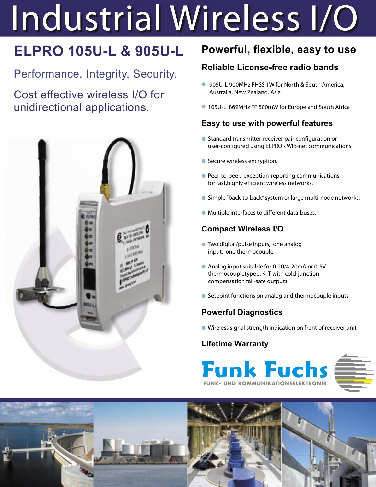# Industrial Wireless I/O

# **ELPRO 105U-L & 905U-L**

Performance, Integrity, Security.

Cost effective wireless I/O for unidirectional applications.



# **Powerful, flexible, easy to use**

# **Reliable License-free radio bands**

- 905U-L 900MHz FHSS 1W for North & South America, Australia, New Zealand, Asia
- 105U-L 869MHz FF 500mW for Europe and South Africa

# **Easy to use with powerful features**

- Standard transmitter-receiver pair configuration or user-configured using ELPRO's WIB-net communications.
- Secure wireless encryption.
- **Peer-to-peer, exception-reporting communications** for fast, highly efficient wireless networks.
- Simple "back-to-back" system or large multi-node networks.
- $\bullet$  Multiple interfaces to different data-buses.

# **Compact Wireless I/O**

- Two digital/pulse inputs, one analog input, one thermocouple
- Analog input suitable for 0-20/4-20mA or 0-5V thermocoupletype J, K, T with cold-junction compensation fail-safe outputs.
- Setpoint functions on analog and thermocouple inputs

# **Powerful Diagnostics**

Wireless signal strength indication on front of receiver unit

## **Lifetime Warranty**